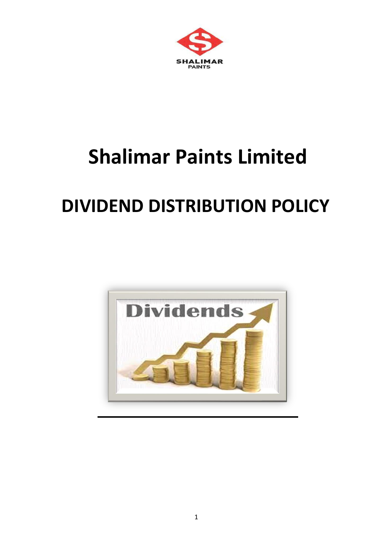

# **Shalimar Paints Limited**

# **DIVIDEND DISTRIBUTION POLICY**

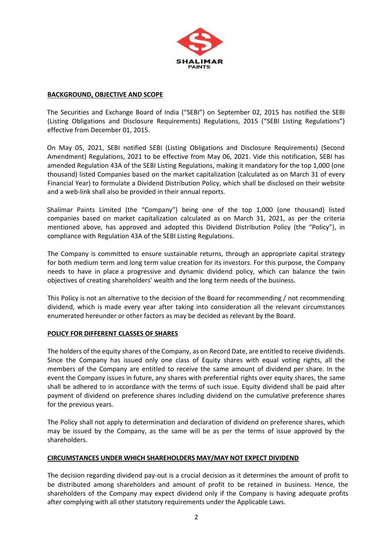

#### **BACKGROUND, OBJECTIVE AND SCOPE**

The Securities and Exchange Board of India ("SEBI") on September 02, 2015 has notified the SEBI (Listing Obligations and Disclosure Requirements) Regulations, 2015 ("SEBI Listing Regulations") effective from December 01, 2015.

On May 05, 2021, SEBI notified SEBI (Listing Obligations and Disclosure Requirements) (Second Amendment) Regulations, 2021 to be effective from May 06, 2021. Vide this notification, SEBI has amended Regulation 43A of the SEBI Listing Regulations, making it mandatory for the top 1,000 (one thousand) listed Companies based on the market capitalization (calculated as on March 31 of every Financial Year) to formulate a Dividend Distribution Policy, which shall be disclosed on their website and a web-link shall also be provided in their annual reports.

Shalimar Paints Limited (the "Company") being one of the top 1,000 (one thousand) listed companies based on market capitalization calculated as on March 31, 2021, as per the criteria mentioned above, has approved and adopted this Dividend Distribution Policy (the "Policy"), in compliance with Regulation 43A of the SEBI Listing Regulations.

The Company is committed to ensure sustainable returns, through an appropriate capital strategy for both medium term and long term value creation for its investors. For this purpose, the Company needs to have in place a progressive and dynamic dividend policy, which can balance the twin objectives of creating shareholders' wealth and the long term needs of the business.

This Policy is not an alternative to the decision of the Board for recommending / not recommending dividend, which is made every year after taking into consideration all the relevant circumstances enumerated hereunder or other factors as may be decided as relevant by the Board.

#### **POLICY FOR DIFFERENT CLASSES OF SHARES**

The holders of the equity shares of the Company, as on Record Date, are entitled to receive dividends. Since the Company has issued only one class of Equity shares with equal voting rights, all the members of the Company are entitled to receive the same amount of dividend per share. In the event the Company issues in future, any shares with preferential rights over equity shares, the same shall be adhered to in accordance with the terms of such issue. Equity dividend shall be paid after payment of dividend on preference shares including dividend on the cumulative preference shares for the previous years.

The Policy shall not apply to determination and declaration of dividend on preference shares, which may be issued by the Company, as the same will be as per the terms of issue approved by the shareholders.

#### **CIRCUMSTANCES UNDER WHICH SHAREHOLDERS MAY/MAY NOT EXPECT DIVIDEND**

The decision regarding dividend pay-out is a crucial decision as it determines the amount of profit to be distributed among shareholders and amount of profit to be retained in business. Hence, the shareholders of the Company may expect dividend only if the Company is having adequate profits after complying with all other statutory requirements under the Applicable Laws.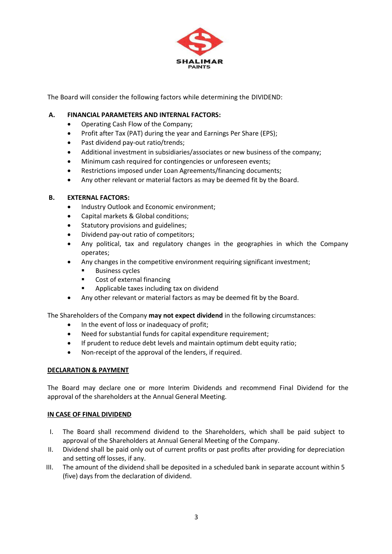

The Board will consider the following factors while determining the DIVIDEND:

# **A. FINANCIAL PARAMETERS AND INTERNAL FACTORS:**

- Operating Cash Flow of the Company;
- Profit after Tax (PAT) during the year and Earnings Per Share (EPS);
- Past dividend pay-out ratio/trends;
- Additional investment in subsidiaries/associates or new business of the company;
- Minimum cash required for contingencies or unforeseen events;
- Restrictions imposed under Loan Agreements/financing documents;
- Any other relevant or material factors as may be deemed fit by the Board.

# **B. EXTERNAL FACTORS:**

- Industry Outlook and Economic environment;
- Capital markets & Global conditions;
- Statutory provisions and guidelines;
- Dividend pay-out ratio of competitors;
- Any political, tax and regulatory changes in the geographies in which the Company operates;
- Any changes in the competitive environment requiring significant investment;
	- **Business cycles**
	- Cost of external financing
	- Applicable taxes including tax on dividend
- Any other relevant or material factors as may be deemed fit by the Board.

The Shareholders of the Company **may not expect dividend** in the following circumstances:

- In the event of loss or inadequacy of profit;
- Need for substantial funds for capital expenditure requirement;
- If prudent to reduce debt levels and maintain optimum debt equity ratio;
- Non-receipt of the approval of the lenders, if required.

# **DECLARATION & PAYMENT**

The Board may declare one or more Interim Dividends and recommend Final Dividend for the approval of the shareholders at the Annual General Meeting.

# **IN CASE OF FINAL DIVIDEND**

- I. The Board shall recommend dividend to the Shareholders, which shall be paid subject to approval of the Shareholders at Annual General Meeting of the Company.
- II. Dividend shall be paid only out of current profits or past profits after providing for depreciation and setting off losses, if any.
- III. The amount of the dividend shall be deposited in a scheduled bank in separate account within 5 (five) days from the declaration of dividend.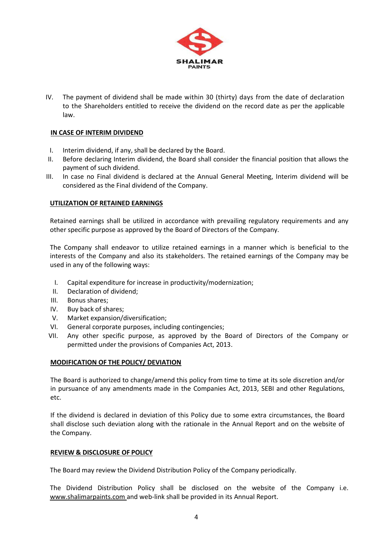

IV. The payment of dividend shall be made within 30 (thirty) days from the date of declaration to the Shareholders entitled to receive the dividend on the record date as per the applicable law.

# **IN CASE OF INTERIM DIVIDEND**

- I. Interim dividend, if any, shall be declared by the Board.
- II. Before declaring Interim dividend, the Board shall consider the financial position that allows the payment of such dividend.
- III. In case no Final dividend is declared at the Annual General Meeting, Interim dividend will be considered as the Final dividend of the Company.

# **UTILIZATION OF RETAINED EARNINGS**

Retained earnings shall be utilized in accordance with prevailing regulatory requirements and any other specific purpose as approved by the Board of Directors of the Company.

The Company shall endeavor to utilize retained earnings in a manner which is beneficial to the interests of the Company and also its stakeholders. The retained earnings of the Company may be used in any of the following ways:

- I. Capital expenditure for increase in productivity/modernization;
- II. Declaration of dividend;
- III. Bonus shares;
- IV. Buy back of shares;
- V. Market expansion/diversification;
- VI. General corporate purposes, including contingencies;
- VII. Any other specific purpose, as approved by the Board of Directors of the Company or permitted under the provisions of Companies Act, 2013.

#### **MODIFICATION OF THE POLICY/ DEVIATION**

The Board is authorized to change/amend this policy from time to time at its sole discretion and/or in pursuance of any amendments made in the Companies Act, 2013, SEBI and other Regulations, etc.

If the dividend is declared in deviation of this Policy due to some extra circumstances, the Board shall disclose such deviation along with the rationale in the Annual Report and on the website of the Company.

#### **REVIEW & DISCLOSURE OF POLICY**

The Board may review the Dividend Distribution Policy of the Company periodically.

The Dividend Distribution Policy shall be disclosed on the website of the Company i.e. [www.shalimarpaints.com](http://www.shalimarpaints.com/) and web-link shall be provided in its Annual Report.